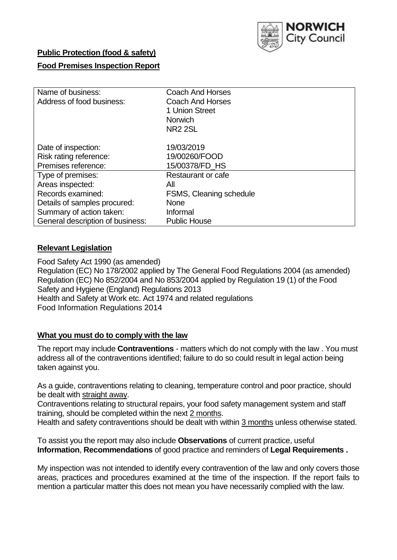

## **Public Protection (food & safety)**

### **Food Premises Inspection Report**

| Name of business:<br>Address of food business:                       | <b>Coach And Horses</b><br><b>Coach And Horses</b><br>1 Union Street<br><b>Norwich</b><br><b>NR2 2SL</b> |
|----------------------------------------------------------------------|----------------------------------------------------------------------------------------------------------|
| Date of inspection:<br>Risk rating reference:<br>Premises reference: | 19/03/2019<br>19/00260/FOOD<br>15/00378/FD HS                                                            |
| Type of premises:                                                    | Restaurant or cafe                                                                                       |
| Areas inspected:                                                     | All                                                                                                      |
| Records examined:                                                    | <b>FSMS, Cleaning schedule</b>                                                                           |
| Details of samples procured:                                         | <b>None</b>                                                                                              |
| Summary of action taken:                                             | Informal                                                                                                 |
| General description of business:                                     | <b>Public House</b>                                                                                      |

### **Relevant Legislation**

Food Safety Act 1990 (as amended) Regulation (EC) No 178/2002 applied by The General Food Regulations 2004 (as amended) Regulation (EC) No 852/2004 and No 853/2004 applied by Regulation 19 (1) of the Food Safety and Hygiene (England) Regulations 2013 Health and Safety at Work etc. Act 1974 and related regulations Food Information Regulations 2014

### **What you must do to comply with the law**

The report may include **Contraventions** - matters which do not comply with the law . You must address all of the contraventions identified; failure to do so could result in legal action being taken against you.

As a guide, contraventions relating to cleaning, temperature control and poor practice, should be dealt with straight away.

Contraventions relating to structural repairs, your food safety management system and staff training, should be completed within the next 2 months.

Health and safety contraventions should be dealt with within 3 months unless otherwise stated.

To assist you the report may also include **Observations** of current practice, useful **Information**, **Recommendations** of good practice and reminders of **Legal Requirements .**

My inspection was not intended to identify every contravention of the law and only covers those areas, practices and procedures examined at the time of the inspection. If the report fails to mention a particular matter this does not mean you have necessarily complied with the law.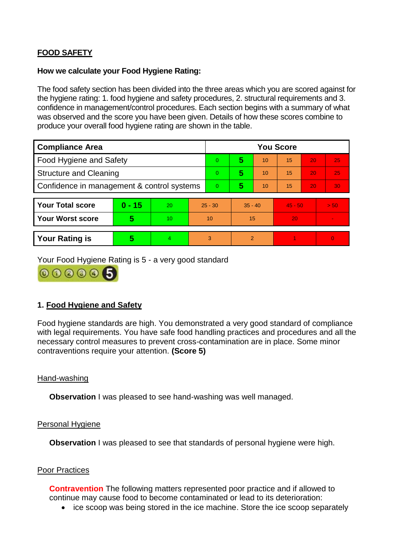# **FOOD SAFETY**

#### **How we calculate your Food Hygiene Rating:**

The food safety section has been divided into the three areas which you are scored against for the hygiene rating: 1. food hygiene and safety procedures, 2. structural requirements and 3. confidence in management/control procedures. Each section begins with a summary of what was observed and the score you have been given. Details of how these scores combine to produce your overall food hygiene rating are shown in the table.

| <b>Compliance Area</b>                     |          |                  |           | <b>You Score</b> |                |    |           |    |                |  |  |
|--------------------------------------------|----------|------------------|-----------|------------------|----------------|----|-----------|----|----------------|--|--|
| Food Hygiene and Safety                    |          |                  | 0         | 5                | 10             | 15 | 20        | 25 |                |  |  |
| <b>Structure and Cleaning</b>              |          |                  | $\Omega$  | 5                | 10             | 15 | 20        | 25 |                |  |  |
| Confidence in management & control systems |          |                  | 0         | 5                | 10             | 15 | 20        | 30 |                |  |  |
|                                            |          |                  |           |                  |                |    |           |    |                |  |  |
| <b>Your Total score</b>                    | $0 - 15$ | 20               | $25 - 30$ |                  | $35 - 40$      |    | $45 - 50$ |    | > 50           |  |  |
| <b>Your Worst score</b>                    | 5        | 10 <sup>10</sup> | 10        |                  | 15             |    | 20        |    | $\blacksquare$ |  |  |
|                                            |          |                  |           |                  |                |    |           |    |                |  |  |
| <b>Your Rating is</b>                      | 5        | 4                | 3         |                  | $\overline{2}$ |    |           |    | $\overline{0}$ |  |  |

Your Food Hygiene Rating is 5 - a very good standard



## **1. Food Hygiene and Safety**

Food hygiene standards are high. You demonstrated a very good standard of compliance with legal requirements. You have safe food handling practices and procedures and all the necessary control measures to prevent cross-contamination are in place. Some minor contraventions require your attention. **(Score 5)**

### Hand-washing

**Observation** I was pleased to see hand-washing was well managed.

### Personal Hygiene

**Observation** I was pleased to see that standards of personal hygiene were high.

### Poor Practices

**Contravention** The following matters represented poor practice and if allowed to continue may cause food to become contaminated or lead to its deterioration:

• ice scoop was being stored in the ice machine. Store the ice scoop separately